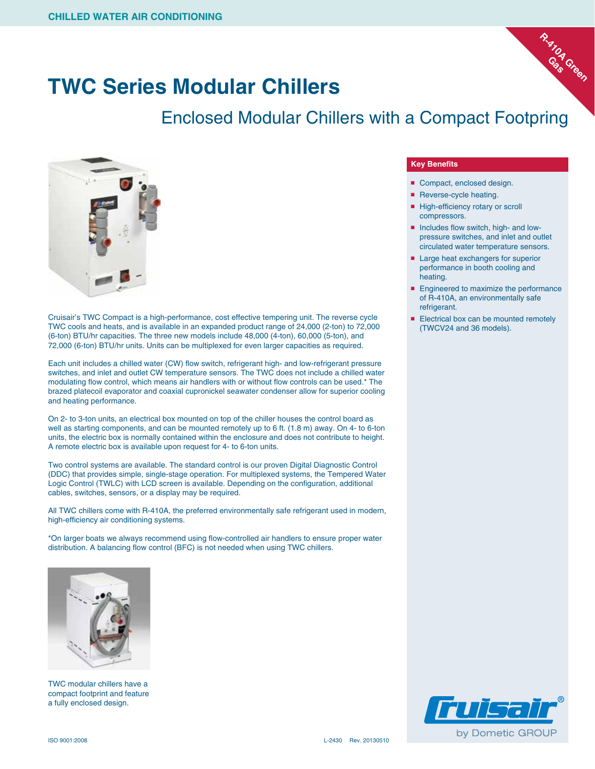### **TWC Series Modular Chillers**

### Enclosed Modular Chillers with a Compact Footpring



Cruisair's TWC Compact is a high-performance, cost effective tempering unit. The reverse cycle TWC cools and heats, and is available in an expanded product range of 24,000 (2-ton) to 72,000 (6-ton) BTU/hr capacities. The three new models include 48,000 (4-ton), 60,000 (5-ton), and 72,000 (6-ton) BTU/hr units. Units can be multiplexed for even larger capacities as required.

Each unit includes a chilled water (CW) flow switch, refrigerant high- and low-refrigerant pressure switches, and inlet and outlet CW temperature sensors. The TWC does not include a chilled water modulating flow control, which means air handlers with or without flow controls can be used.\* The brazed platecoil evaporator and coaxial cupronickel seawater condenser allow for superior cooling and heating performance.

On 2- to 3-ton units, an electrical box mounted on top of the chiller houses the control board as well as starting components, and can be mounted remotely up to 6 ft. (1.8 m) away. On 4- to 6-ton units, the electric box is normally contained within the enclosure and does not contribute to height. A remote electric box is available upon request for 4- to 6-ton units.

Two control systems are available. The standard control is our proven Digital Diagnostic Control (DDC) that provides simple, single-stage operation. For multiplexed systems, the Tempered Water Logic Control (TWLC) with LCD screen is available. Depending on the configuration, additional cables, switches, sensors, or a display may be required.

All TWC chillers come with R-410A, the preferred environmentally safe refrigerant used in modern, high-efficiency air conditioning systems.

\*On larger boats we always recommend using flow-controlled air handlers to ensure proper water distribution. A balancing flow control (BFC) is not needed when using TWC chillers.



TWC modular chillers have a compact footprint and feature a fully enclosed design.

#### **Key Benefits**

- Compact, enclosed design.
- Reverse-cycle heating.
- High-efficiency rotary or scroll compressors.
- Includes flow switch, high- and lowpressure switches, and inlet and outlet circulated water temperature sensors.

**R-410A Green Gas**

- Large heat exchangers for superior performance in booth cooling and heating.
- Engineered to maximize the performance of R-410A, an environmentally safe refrigerant.
- Electrical box can be mounted remotely (TWCV24 and 36 models).